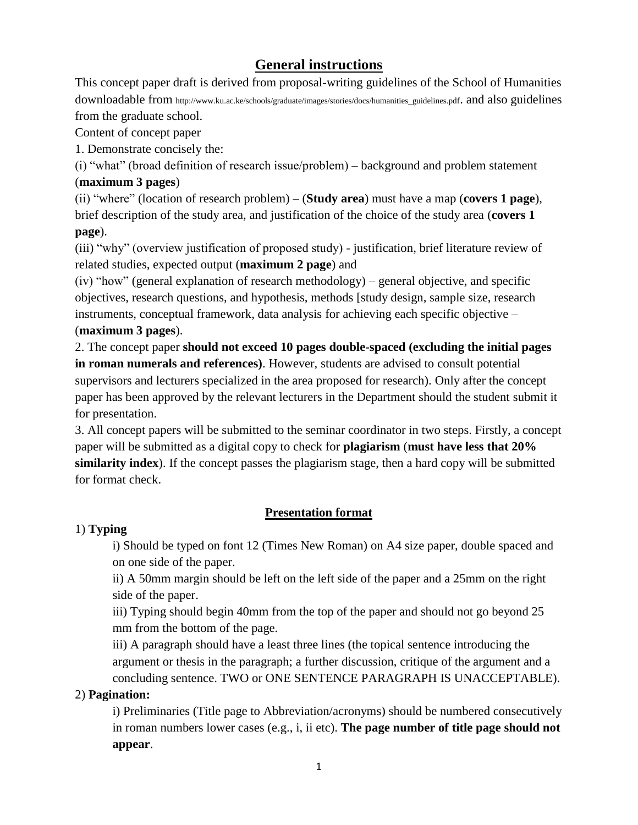# **General instructions**

This concept paper draft is derived from proposal-writing guidelines of the School of Humanities downloadable from http://www.ku.ac.ke/schools/graduate/images/stories/docs/humanities\_guidelines.pdf. and also guidelines from the graduate school.

Content of concept paper

1. Demonstrate concisely the:

(i) "what" (broad definition of research issue/problem) – background and problem statement (**maximum 3 pages**)

(ii) "where" (location of research problem) – (**Study area**) must have a map (**covers 1 page**), brief description of the study area, and justification of the choice of the study area (**covers 1 page**).

(iii) "why" (overview justification of proposed study) - justification, brief literature review of related studies, expected output (**maximum 2 page**) and

(iv) "how" (general explanation of research methodology) – general objective, and specific objectives, research questions, and hypothesis, methods [study design, sample size, research instruments, conceptual framework, data analysis for achieving each specific objective – (**maximum 3 pages**).

2. The concept paper **should not exceed 10 pages double-spaced (excluding the initial pages in roman numerals and references)**. However, students are advised to consult potential supervisors and lecturers specialized in the area proposed for research). Only after the concept paper has been approved by the relevant lecturers in the Department should the student submit it for presentation.

3. All concept papers will be submitted to the seminar coordinator in two steps. Firstly, a concept paper will be submitted as a digital copy to check for **plagiarism** (**must have less that 20% similarity index**). If the concept passes the plagiarism stage, then a hard copy will be submitted for format check.

# **Presentation format**

# 1) **Typing**

i) Should be typed on font 12 (Times New Roman) on A4 size paper, double spaced and on one side of the paper.

ii) A 50mm margin should be left on the left side of the paper and a 25mm on the right side of the paper.

iii) Typing should begin 40mm from the top of the paper and should not go beyond 25 mm from the bottom of the page.

iii) A paragraph should have a least three lines (the topical sentence introducing the argument or thesis in the paragraph; a further discussion, critique of the argument and a concluding sentence. TWO or ONE SENTENCE PARAGRAPH IS UNACCEPTABLE).

# 2) **Pagination:**

i) Preliminaries (Title page to Abbreviation/acronyms) should be numbered consecutively in roman numbers lower cases (e.g., i, ii etc). **The page number of title page should not appear**.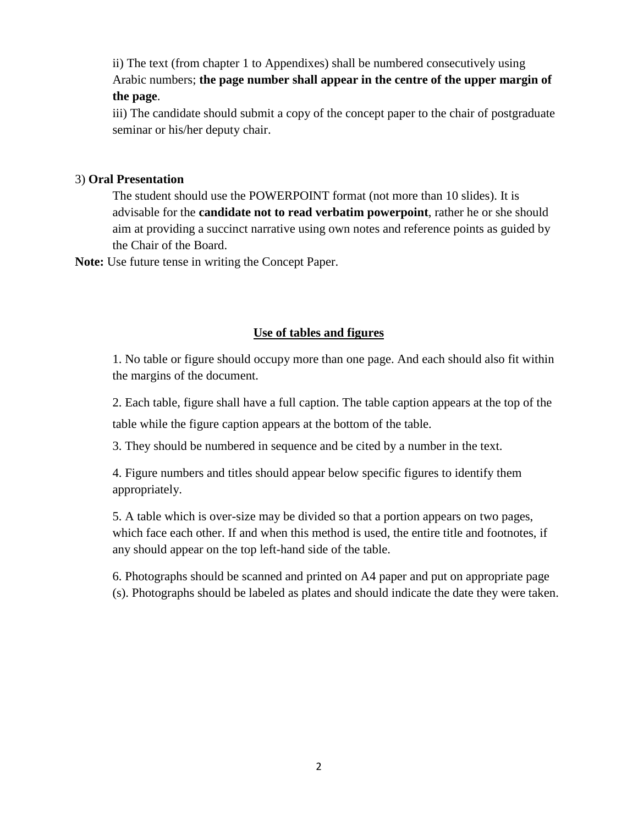ii) The text (from chapter 1 to Appendixes) shall be numbered consecutively using Arabic numbers; **the page number shall appear in the centre of the upper margin of the page**.

iii) The candidate should submit a copy of the concept paper to the chair of postgraduate seminar or his/her deputy chair.

#### 3) **Oral Presentation**

The student should use the POWERPOINT format (not more than 10 slides). It is advisable for the **candidate not to read verbatim powerpoint**, rather he or she should aim at providing a succinct narrative using own notes and reference points as guided by the Chair of the Board.

**Note:** Use future tense in writing the Concept Paper.

#### **Use of tables and figures**

1. No table or figure should occupy more than one page. And each should also fit within the margins of the document.

2. Each table, figure shall have a full caption. The table caption appears at the top of the table while the figure caption appears at the bottom of the table.

3. They should be numbered in sequence and be cited by a number in the text.

4. Figure numbers and titles should appear below specific figures to identify them appropriately.

5. A table which is over-size may be divided so that a portion appears on two pages, which face each other. If and when this method is used, the entire title and footnotes, if any should appear on the top left-hand side of the table.

6. Photographs should be scanned and printed on A4 paper and put on appropriate page (s). Photographs should be labeled as plates and should indicate the date they were taken.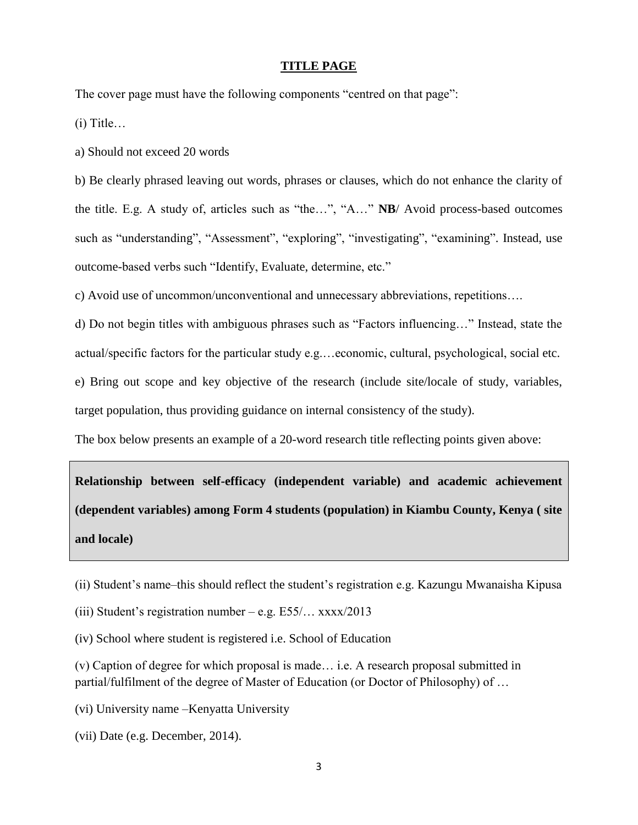#### **TITLE PAGE**

The cover page must have the following components "centred on that page":

(i) Title…

a) Should not exceed 20 words

b) Be clearly phrased leaving out words, phrases or clauses, which do not enhance the clarity of the title. E.g. A study of, articles such as "the…", "A…" **NB**/ Avoid process-based outcomes such as "understanding", "Assessment", "exploring", "investigating", "examining". Instead, use outcome-based verbs such "Identify, Evaluate, determine, etc."

c) Avoid use of uncommon/unconventional and unnecessary abbreviations, repetitions….

d) Do not begin titles with ambiguous phrases such as "Factors influencing…" Instead, state the

actual/specific factors for the particular study e.g.…economic, cultural, psychological, social etc.

e) Bring out scope and key objective of the research (include site/locale of study, variables,

target population, thus providing guidance on internal consistency of the study).

The box below presents an example of a 20-word research title reflecting points given above:

**Relationship between self-efficacy (independent variable) and academic achievement (dependent variables) among Form 4 students (population) in Kiambu County, Kenya ( site and locale)**

(ii) Student's name–this should reflect the student's registration e.g. Kazungu Mwanaisha Kipusa

(iii) Student's registration number – e.g.  $E55/...$  xxxx/2013

(iv) School where student is registered i.e. School of Education

(v) Caption of degree for which proposal is made… i.e. A research proposal submitted in partial/fulfilment of the degree of Master of Education (or Doctor of Philosophy) of …

(vi) University name –Kenyatta University

(vii) Date (e.g. December, 2014).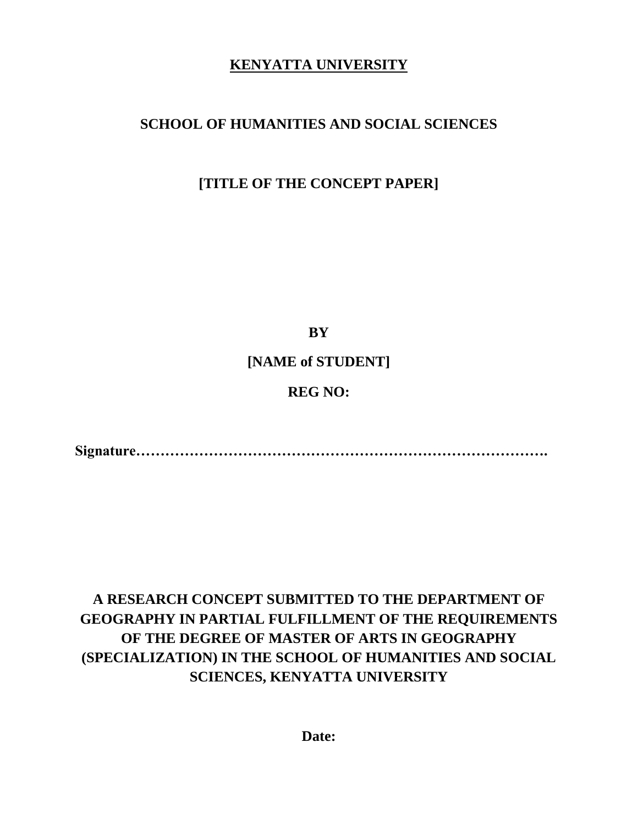# **KENYATTA UNIVERSITY**

# **SCHOOL OF HUMANITIES AND SOCIAL SCIENCES**

# **[TITLE OF THE CONCEPT PAPER]**

**BY**

**[NAME of STUDENT]**

# **REG NO:**

**Signature………………………………………………………………………….**

# **A RESEARCH CONCEPT SUBMITTED TO THE DEPARTMENT OF GEOGRAPHY IN PARTIAL FULFILLMENT OF THE REQUIREMENTS OF THE DEGREE OF MASTER OF ARTS IN GEOGRAPHY (SPECIALIZATION) IN THE SCHOOL OF HUMANITIES AND SOCIAL SCIENCES, KENYATTA UNIVERSITY**

**Date:**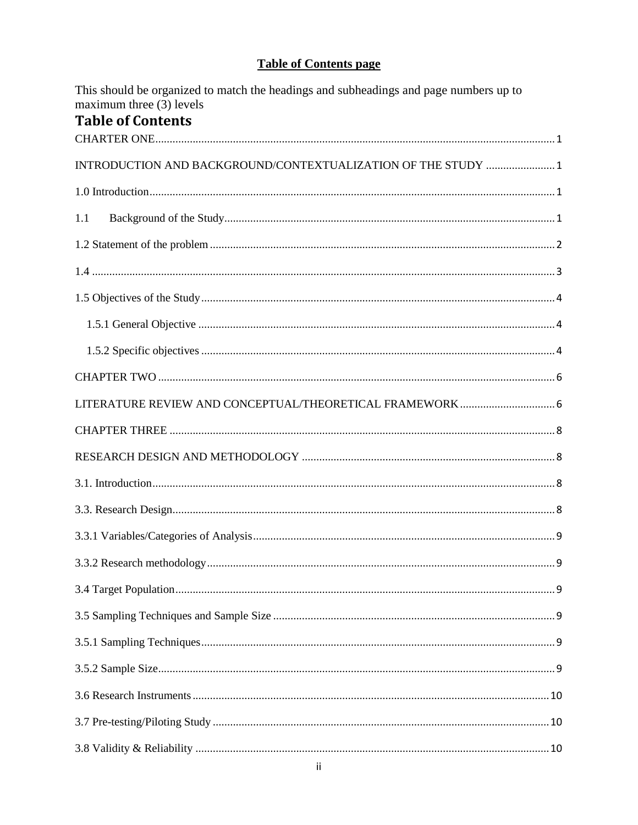# **Table of Contents page**

This should be organized to match the headings and subheadings and page numbers up to maximum three  $(3)$  levels Table of Contents

| Tapić ul culitelits                                           |
|---------------------------------------------------------------|
| INTRODUCTION AND BACKGROUND/CONTEXTUALIZATION OF THE STUDY  1 |
|                                                               |
| 1.1                                                           |
|                                                               |
|                                                               |
|                                                               |
|                                                               |
|                                                               |
|                                                               |
| LITERATURE REVIEW AND CONCEPTUAL/THEORETICAL FRAMEWORK 6      |
|                                                               |
|                                                               |
|                                                               |
|                                                               |
|                                                               |
|                                                               |
|                                                               |
|                                                               |
|                                                               |
|                                                               |
|                                                               |
|                                                               |
|                                                               |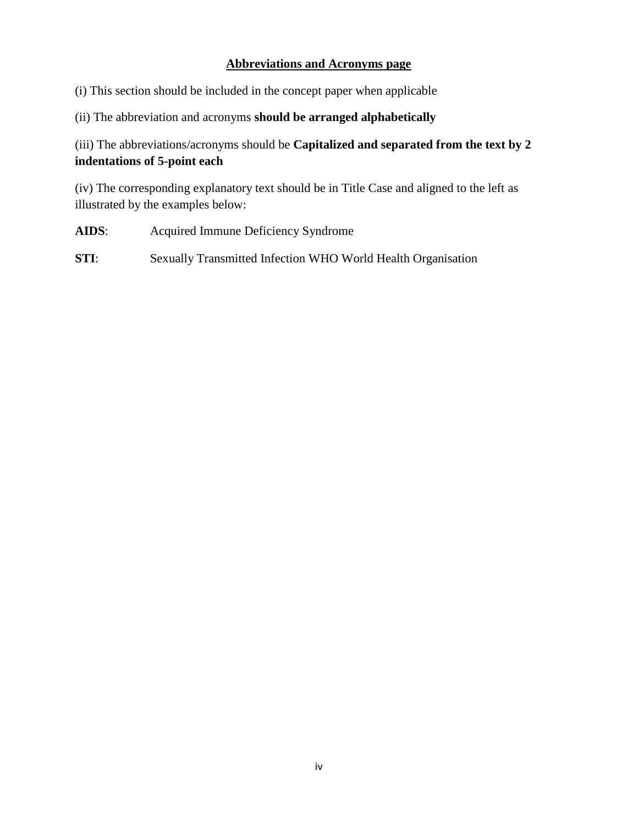## **Abbreviations and Acronyms page**

(i) This section should be included in the concept paper when applicable

(ii) The abbreviation and acronyms **should be arranged alphabetically**

(iii) The abbreviations/acronyms should be **Capitalized and separated from the text by 2 indentations of 5-point each**

(iv) The corresponding explanatory text should be in Title Case and aligned to the left as illustrated by the examples below:

- **AIDS**: Acquired Immune Deficiency Syndrome
- **STI**: Sexually Transmitted Infection WHO World Health Organisation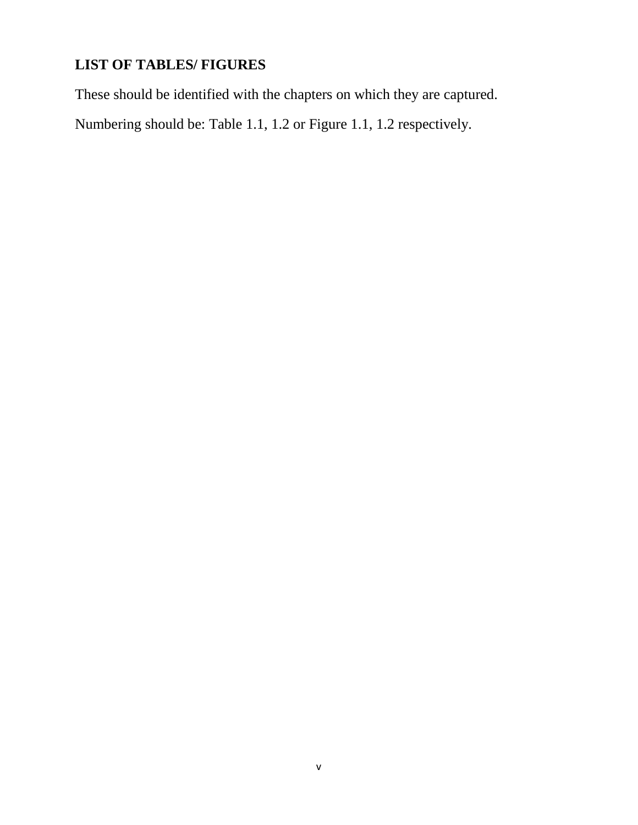# **LIST OF TABLES/ FIGURES**

These should be identified with the chapters on which they are captured.

Numbering should be: Table 1.1, 1.2 or Figure 1.1, 1.2 respectively.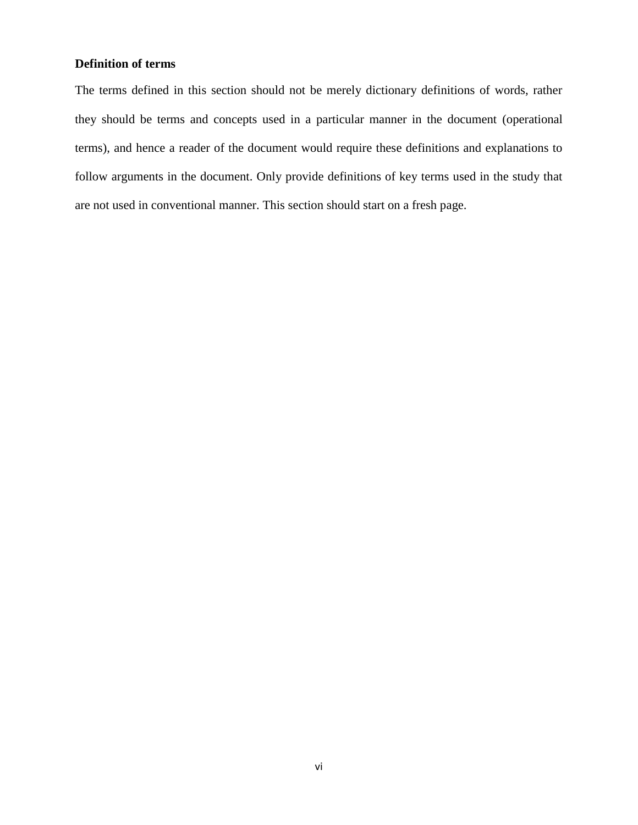#### **Definition of terms**

The terms defined in this section should not be merely dictionary definitions of words, rather they should be terms and concepts used in a particular manner in the document (operational terms), and hence a reader of the document would require these definitions and explanations to follow arguments in the document. Only provide definitions of key terms used in the study that are not used in conventional manner. This section should start on a fresh page.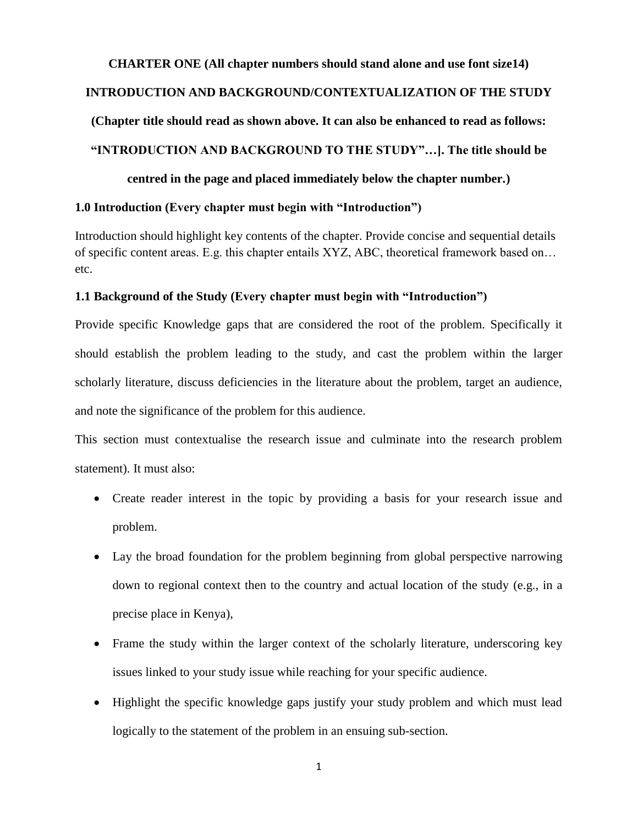# <span id="page-9-1"></span><span id="page-9-0"></span>**CHARTER ONE (All chapter numbers should stand alone and use font size14) INTRODUCTION AND BACKGROUND/CONTEXTUALIZATION OF THE STUDY (Chapter title should read as shown above. It can also be enhanced to read as follows: "INTRODUCTION AND BACKGROUND TO THE STUDY"…]. The title should be centred in the page and placed immediately below the chapter number.)**

## <span id="page-9-2"></span>**1.0 Introduction (Every chapter must begin with "Introduction")**

Introduction should highlight key contents of the chapter. Provide concise and sequential details of specific content areas. E.g. this chapter entails XYZ, ABC, theoretical framework based on… etc.

#### <span id="page-9-3"></span>**1.1 Background of the Study (Every chapter must begin with "Introduction")**

Provide specific Knowledge gaps that are considered the root of the problem. Specifically it should establish the problem leading to the study, and cast the problem within the larger scholarly literature, discuss deficiencies in the literature about the problem, target an audience, and note the significance of the problem for this audience.

This section must contextualise the research issue and culminate into the research problem statement). It must also:

- Create reader interest in the topic by providing a basis for your research issue and problem.
- Lay the broad foundation for the problem beginning from global perspective narrowing down to regional context then to the country and actual location of the study (e.g., in a precise place in Kenya),
- Frame the study within the larger context of the scholarly literature, underscoring key issues linked to your study issue while reaching for your specific audience.
- Highlight the specific knowledge gaps justify your study problem and which must lead logically to the statement of the problem in an ensuing sub-section.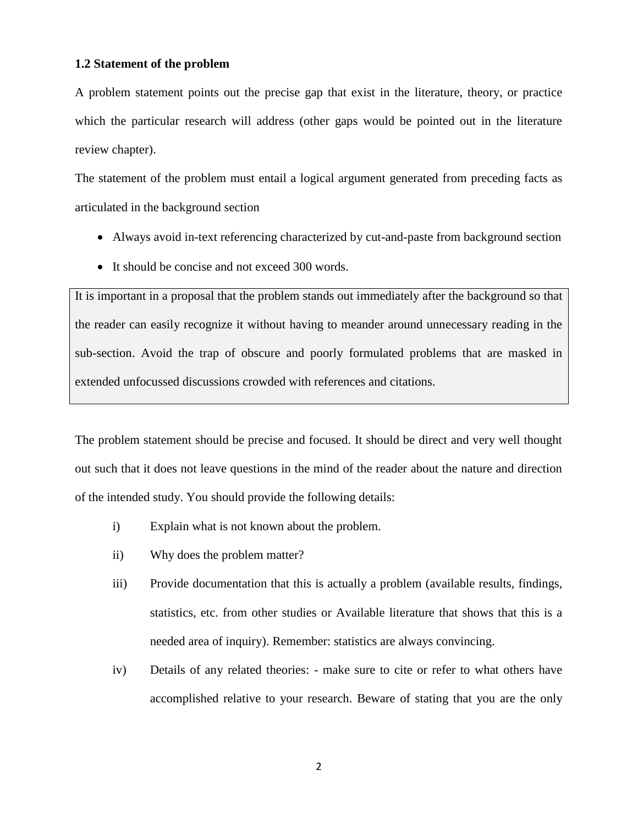#### <span id="page-10-0"></span>**1.2 Statement of the problem**

A problem statement points out the precise gap that exist in the literature, theory, or practice which the particular research will address (other gaps would be pointed out in the literature review chapter).

The statement of the problem must entail a logical argument generated from preceding facts as articulated in the background section

- Always avoid in-text referencing characterized by cut-and-paste from background section
- It should be concise and not exceed 300 words.

It is important in a proposal that the problem stands out immediately after the background so that the reader can easily recognize it without having to meander around unnecessary reading in the sub-section. Avoid the trap of obscure and poorly formulated problems that are masked in extended unfocussed discussions crowded with references and citations.

The problem statement should be precise and focused. It should be direct and very well thought out such that it does not leave questions in the mind of the reader about the nature and direction of the intended study. You should provide the following details:

- i) Explain what is not known about the problem.
- ii) Why does the problem matter?
- iii) Provide documentation that this is actually a problem (available results, findings, statistics, etc. from other studies or Available literature that shows that this is a needed area of inquiry). Remember: statistics are always convincing.
- iv) Details of any related theories: make sure to cite or refer to what others have accomplished relative to your research. Beware of stating that you are the only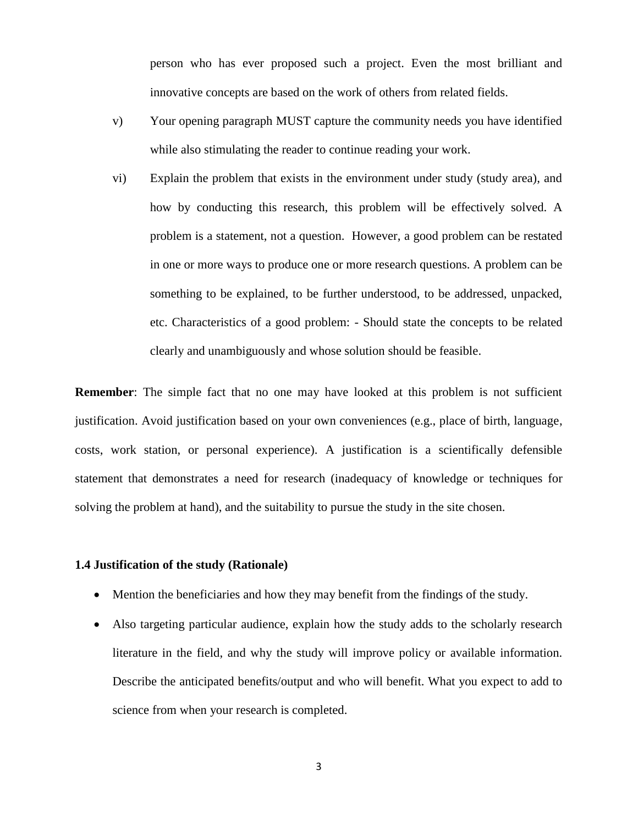person who has ever proposed such a project. Even the most brilliant and innovative concepts are based on the work of others from related fields.

- v) Your opening paragraph MUST capture the community needs you have identified while also stimulating the reader to continue reading your work.
- vi) Explain the problem that exists in the environment under study (study area), and how by conducting this research, this problem will be effectively solved. A problem is a statement, not a question. However, a good problem can be restated in one or more ways to produce one or more research questions. A problem can be something to be explained, to be further understood, to be addressed, unpacked, etc. Characteristics of a good problem: - Should state the concepts to be related clearly and unambiguously and whose solution should be feasible.

**Remember**: The simple fact that no one may have looked at this problem is not sufficient justification. Avoid justification based on your own conveniences (e.g., place of birth, language, costs, work station, or personal experience). A justification is a scientifically defensible statement that demonstrates a need for research (inadequacy of knowledge or techniques for solving the problem at hand), and the suitability to pursue the study in the site chosen.

#### <span id="page-11-0"></span>**1.4 Justification of the study (Rationale)**

- Mention the beneficiaries and how they may benefit from the findings of the study.
- Also targeting particular audience, explain how the study adds to the scholarly research literature in the field, and why the study will improve policy or available information. Describe the anticipated benefits/output and who will benefit. What you expect to add to science from when your research is completed.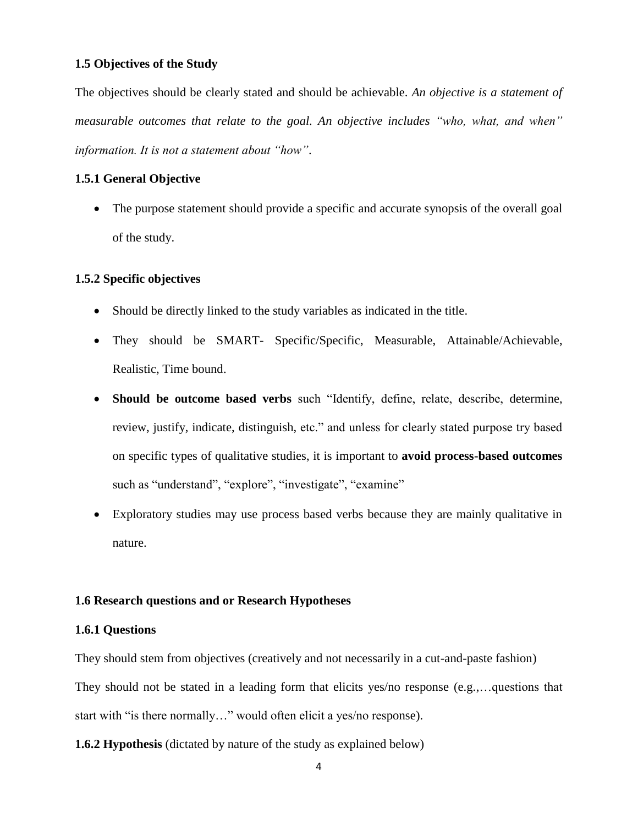#### <span id="page-12-0"></span>**1.5 Objectives of the Study**

The objectives should be clearly stated and should be achievable. *An objective is a statement of measurable outcomes that relate to the goal. An objective includes "who, what, and when" information. It is not a statement about "how"*.

#### <span id="page-12-1"></span>**1.5.1 General Objective**

• The purpose statement should provide a specific and accurate synopsis of the overall goal of the study.

#### <span id="page-12-2"></span>**1.5.2 Specific objectives**

- Should be directly linked to the study variables as indicated in the title.
- They should be SMART- Specific/Specific, Measurable, Attainable/Achievable, Realistic, Time bound.
- **Should be outcome based verbs** such "Identify, define, relate, describe, determine, review, justify, indicate, distinguish, etc." and unless for clearly stated purpose try based on specific types of qualitative studies, it is important to **avoid process-based outcomes** such as "understand", "explore", "investigate", "examine"
- Exploratory studies may use process based verbs because they are mainly qualitative in nature.

#### **1.6 Research questions and or Research Hypotheses**

#### **1.6.1 Questions**

They should stem from objectives (creatively and not necessarily in a cut-and-paste fashion) They should not be stated in a leading form that elicits yes/no response (e.g.,…questions that start with "is there normally…" would often elicit a yes/no response).

**1.6.2 Hypothesis** (dictated by nature of the study as explained below)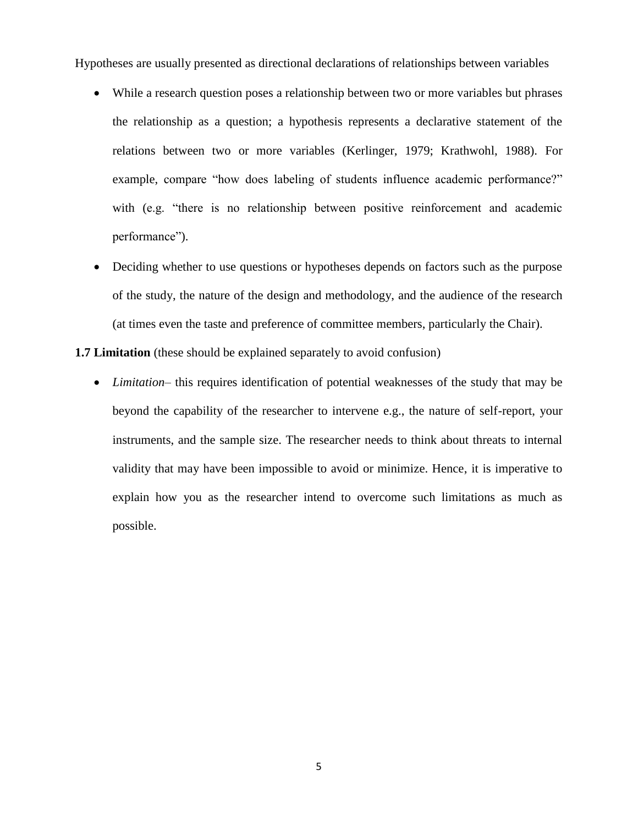Hypotheses are usually presented as directional declarations of relationships between variables

- While a research question poses a relationship between two or more variables but phrases the relationship as a question; a hypothesis represents a declarative statement of the relations between two or more variables (Kerlinger, 1979; Krathwohl, 1988). For example, compare "how does labeling of students influence academic performance?" with (e.g. "there is no relationship between positive reinforcement and academic performance").
- Deciding whether to use questions or hypotheses depends on factors such as the purpose of the study, the nature of the design and methodology, and the audience of the research (at times even the taste and preference of committee members, particularly the Chair).

**1.7 Limitation** (these should be explained separately to avoid confusion)

 *Limitation*– this requires identification of potential weaknesses of the study that may be beyond the capability of the researcher to intervene e.g., the nature of self-report, your instruments, and the sample size. The researcher needs to think about threats to internal validity that may have been impossible to avoid or minimize. Hence, it is imperative to explain how you as the researcher intend to overcome such limitations as much as possible.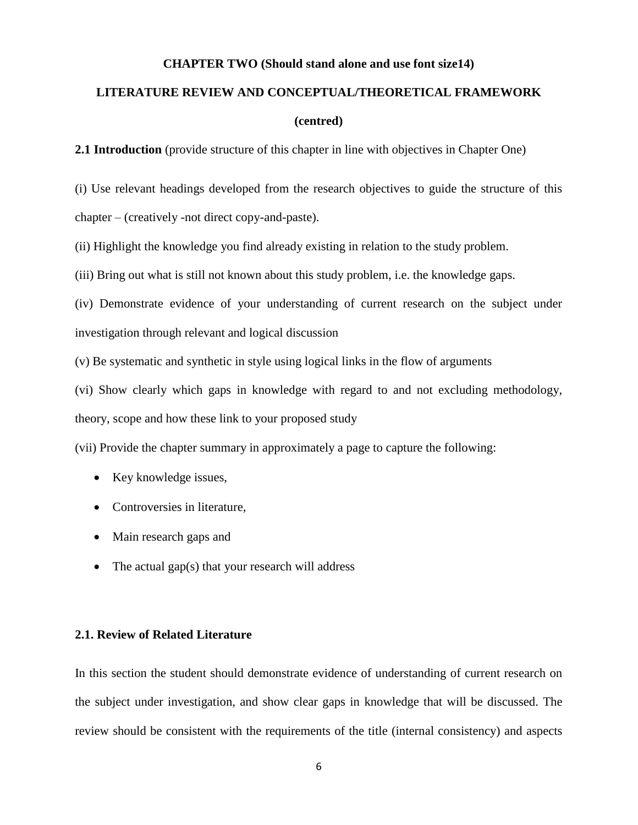#### **CHAPTER TWO (Should stand alone and use font size14)**

# <span id="page-14-1"></span><span id="page-14-0"></span>**LITERATURE REVIEW AND CONCEPTUAL/THEORETICAL FRAMEWORK**

#### **(centred)**

**2.1 Introduction** (provide structure of this chapter in line with objectives in Chapter One)

(i) Use relevant headings developed from the research objectives to guide the structure of this chapter – (creatively -not direct copy-and-paste).

(ii) Highlight the knowledge you find already existing in relation to the study problem.

(iii) Bring out what is still not known about this study problem, i.e. the knowledge gaps.

(iv) Demonstrate evidence of your understanding of current research on the subject under investigation through relevant and logical discussion

(v) Be systematic and synthetic in style using logical links in the flow of arguments

(vi) Show clearly which gaps in knowledge with regard to and not excluding methodology,

theory, scope and how these link to your proposed study

(vii) Provide the chapter summary in approximately a page to capture the following:

- Key knowledge issues,
- Controversies in literature,
- Main research gaps and
- $\bullet$  The actual gap(s) that your research will address

#### **2.1. Review of Related Literature**

In this section the student should demonstrate evidence of understanding of current research on the subject under investigation, and show clear gaps in knowledge that will be discussed. The review should be consistent with the requirements of the title (internal consistency) and aspects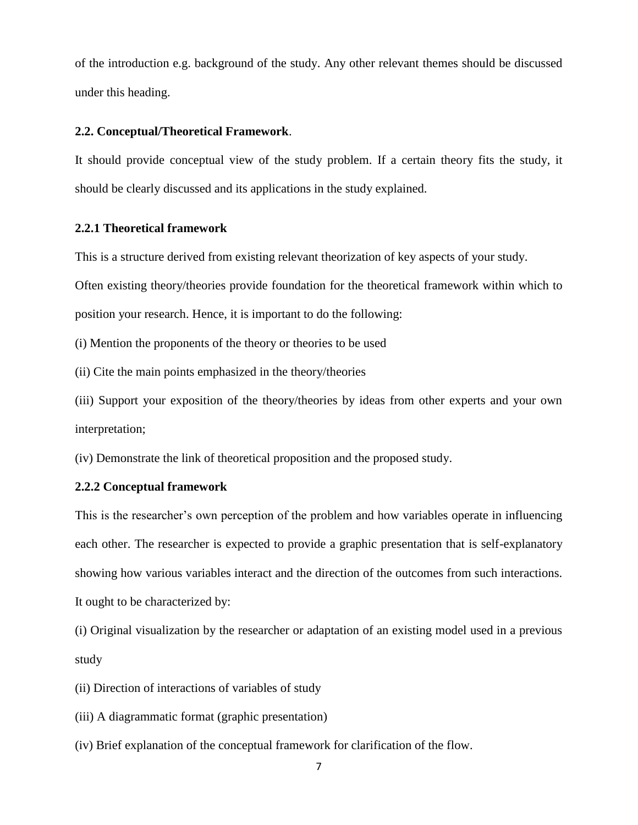of the introduction e.g. background of the study. Any other relevant themes should be discussed under this heading.

#### **2.2. Conceptual/Theoretical Framework**.

It should provide conceptual view of the study problem. If a certain theory fits the study, it should be clearly discussed and its applications in the study explained.

#### **2.2.1 Theoretical framework**

This is a structure derived from existing relevant theorization of key aspects of your study.

Often existing theory/theories provide foundation for the theoretical framework within which to

position your research. Hence, it is important to do the following:

(i) Mention the proponents of the theory or theories to be used

(ii) Cite the main points emphasized in the theory/theories

(iii) Support your exposition of the theory/theories by ideas from other experts and your own interpretation;

(iv) Demonstrate the link of theoretical proposition and the proposed study.

#### **2.2.2 Conceptual framework**

This is the researcher's own perception of the problem and how variables operate in influencing each other. The researcher is expected to provide a graphic presentation that is self-explanatory showing how various variables interact and the direction of the outcomes from such interactions. It ought to be characterized by:

(i) Original visualization by the researcher or adaptation of an existing model used in a previous study

(ii) Direction of interactions of variables of study

(iii) A diagrammatic format (graphic presentation)

(iv) Brief explanation of the conceptual framework for clarification of the flow.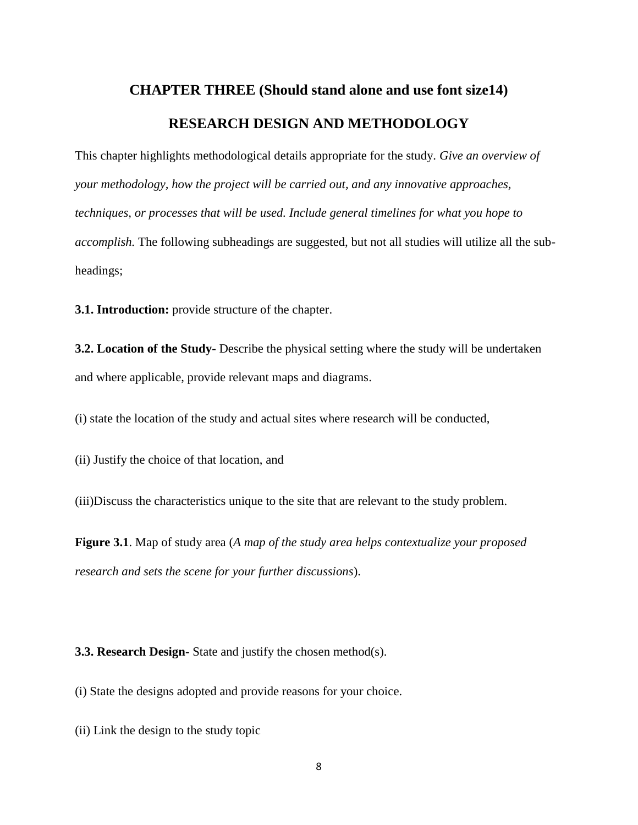# <span id="page-16-0"></span>**CHAPTER THREE (Should stand alone and use font size14) RESEARCH DESIGN AND METHODOLOGY**

<span id="page-16-1"></span>This chapter highlights methodological details appropriate for the study. *Give an overview of your methodology, how the project will be carried out, and any innovative approaches, techniques, or processes that will be used. Include general timelines for what you hope to accomplish.* The following subheadings are suggested, but not all studies will utilize all the subheadings;

<span id="page-16-2"></span>**3.1. Introduction:** provide structure of the chapter.

**3.2. Location of the Study-** Describe the physical setting where the study will be undertaken and where applicable, provide relevant maps and diagrams.

(i) state the location of the study and actual sites where research will be conducted,

(ii) Justify the choice of that location, and

(iii)Discuss the characteristics unique to the site that are relevant to the study problem.

**Figure 3.1**. Map of study area (*A map of the study area helps contextualize your proposed research and sets the scene for your further discussions*).

<span id="page-16-3"></span>**3.3. Research Design-** State and justify the chosen method(s).

(i) State the designs adopted and provide reasons for your choice.

(ii) Link the design to the study topic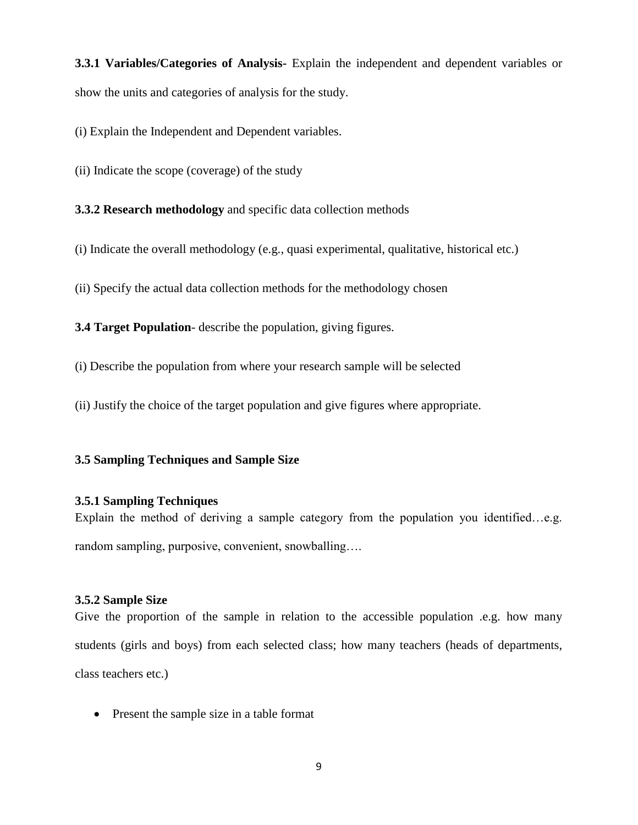<span id="page-17-0"></span>**3.3.1 Variables/Categories of Analysis-** Explain the independent and dependent variables or show the units and categories of analysis for the study.

(i) Explain the Independent and Dependent variables.

(ii) Indicate the scope (coverage) of the study

<span id="page-17-1"></span>**3.3.2 Research methodology** and specific data collection methods

(i) Indicate the overall methodology (e.g., quasi experimental, qualitative, historical etc.)

(ii) Specify the actual data collection methods for the methodology chosen

<span id="page-17-2"></span>**3.4 Target Population**- describe the population, giving figures.

(i) Describe the population from where your research sample will be selected

(ii) Justify the choice of the target population and give figures where appropriate.

#### <span id="page-17-4"></span><span id="page-17-3"></span>**3.5 Sampling Techniques and Sample Size**

#### **3.5.1 Sampling Techniques**

Explain the method of deriving a sample category from the population you identified…e.g. random sampling, purposive, convenient, snowballing….

#### <span id="page-17-5"></span>**3.5.2 Sample Size**

Give the proportion of the sample in relation to the accessible population .e.g. how many students (girls and boys) from each selected class; how many teachers (heads of departments, class teachers etc.)

• Present the sample size in a table format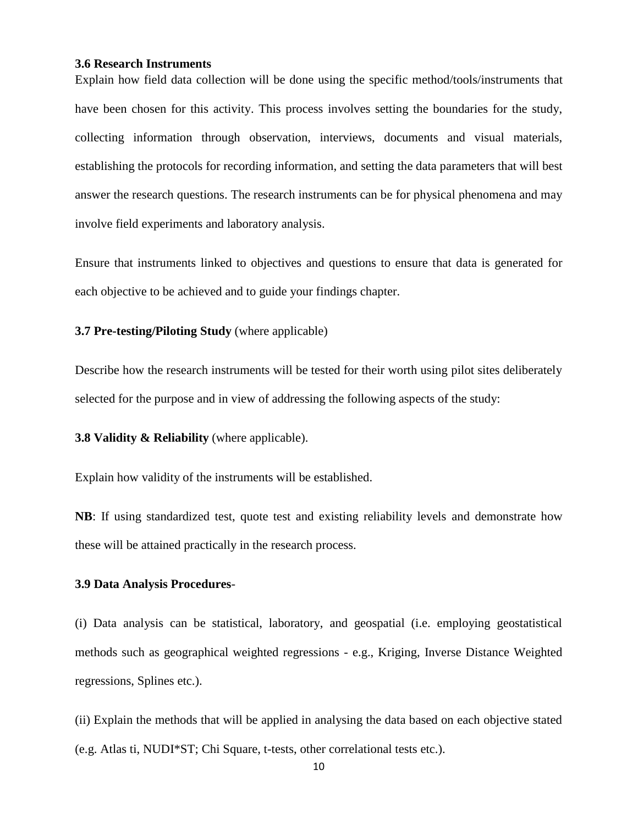#### <span id="page-18-0"></span>**3.6 Research Instruments**

Explain how field data collection will be done using the specific method/tools/instruments that have been chosen for this activity. This process involves setting the boundaries for the study, collecting information through observation, interviews, documents and visual materials, establishing the protocols for recording information, and setting the data parameters that will best answer the research questions. The research instruments can be for physical phenomena and may involve field experiments and laboratory analysis.

Ensure that instruments linked to objectives and questions to ensure that data is generated for each objective to be achieved and to guide your findings chapter.

#### <span id="page-18-1"></span>**3.7 Pre-testing/Piloting Study** (where applicable)

Describe how the research instruments will be tested for their worth using pilot sites deliberately selected for the purpose and in view of addressing the following aspects of the study:

<span id="page-18-2"></span>**3.8 Validity & Reliability** (where applicable).

Explain how validity of the instruments will be established.

**NB**: If using standardized test, quote test and existing reliability levels and demonstrate how these will be attained practically in the research process.

#### <span id="page-18-3"></span>**3.9 Data Analysis Procedures**-

(i) Data analysis can be statistical, laboratory, and geospatial (i.e. employing geostatistical methods such as geographical weighted regressions - e.g., Kriging, Inverse Distance Weighted regressions, Splines etc.).

(ii) Explain the methods that will be applied in analysing the data based on each objective stated (e.g. Atlas ti, NUDI\*ST; Chi Square, t-tests, other correlational tests etc.).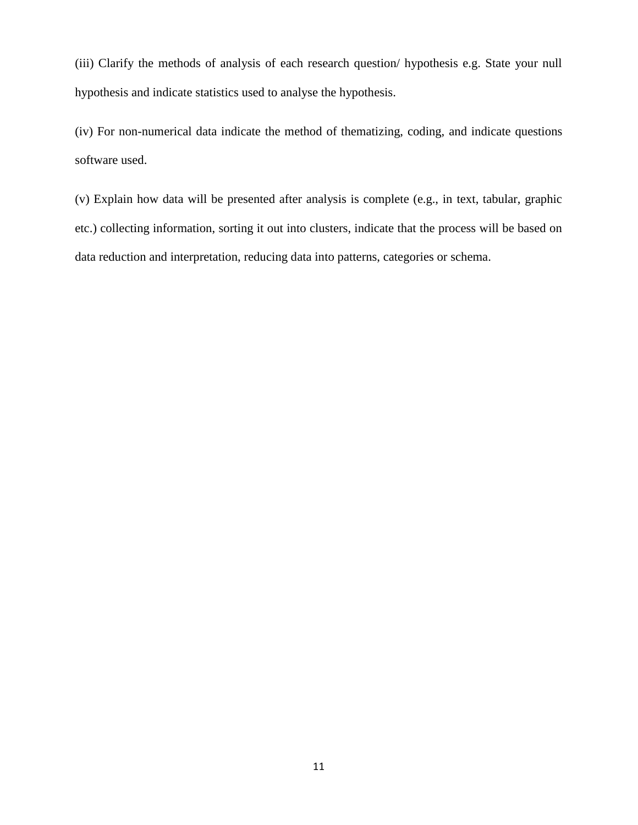(iii) Clarify the methods of analysis of each research question/ hypothesis e.g. State your null hypothesis and indicate statistics used to analyse the hypothesis.

(iv) For non-numerical data indicate the method of thematizing, coding, and indicate questions software used.

(v) Explain how data will be presented after analysis is complete (e.g., in text, tabular, graphic etc.) collecting information, sorting it out into clusters, indicate that the process will be based on data reduction and interpretation, reducing data into patterns, categories or schema.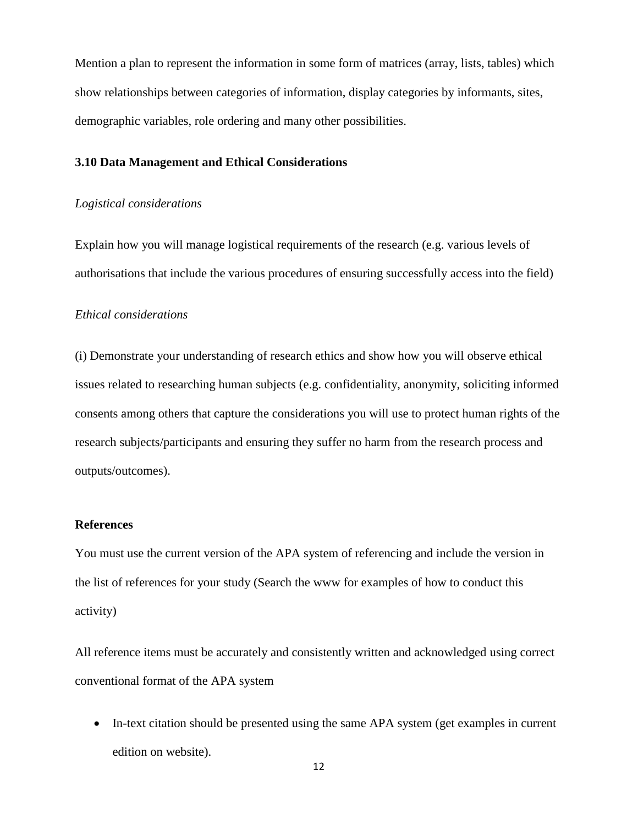Mention a plan to represent the information in some form of matrices (array, lists, tables) which show relationships between categories of information, display categories by informants, sites, demographic variables, role ordering and many other possibilities.

#### **3.10 Data Management and Ethical Considerations**

#### *Logistical considerations*

Explain how you will manage logistical requirements of the research (e.g. various levels of authorisations that include the various procedures of ensuring successfully access into the field)

#### *Ethical considerations*

(i) Demonstrate your understanding of research ethics and show how you will observe ethical issues related to researching human subjects (e.g. confidentiality, anonymity, soliciting informed consents among others that capture the considerations you will use to protect human rights of the research subjects/participants and ensuring they suffer no harm from the research process and outputs/outcomes).

#### <span id="page-20-0"></span>**References**

You must use the current version of the APA system of referencing and include the version in the list of references for your study (Search the www for examples of how to conduct this activity)

All reference items must be accurately and consistently written and acknowledged using correct conventional format of the APA system

• In-text citation should be presented using the same APA system (get examples in current edition on website).